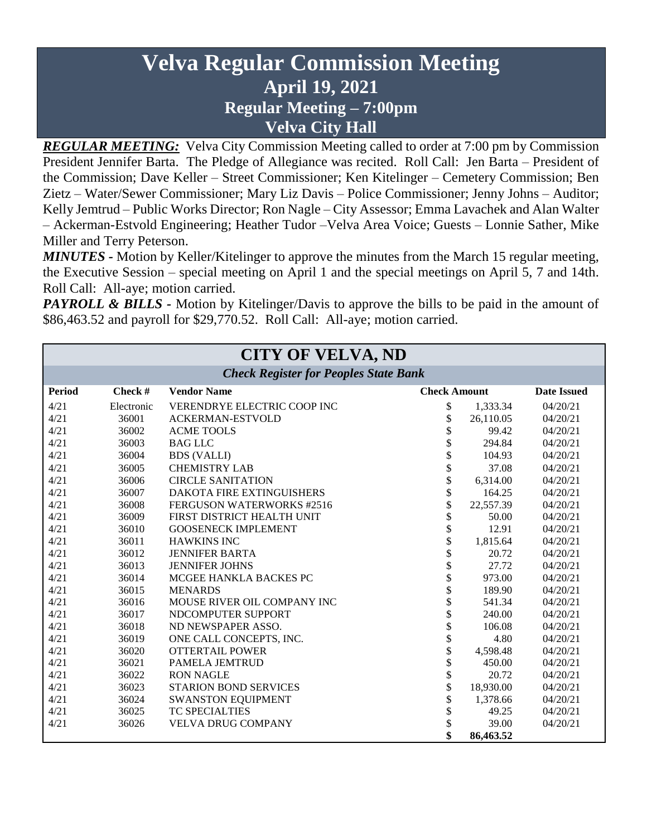# **Velva Regular Commission Meeting April 19, 2021 Regular Meeting – 7:00pm Velva City Hall**

*REGULAR MEETING:* Velva City Commission Meeting called to order at 7:00 pm by Commission President Jennifer Barta. The Pledge of Allegiance was recited. Roll Call: Jen Barta – President of the Commission; Dave Keller – Street Commissioner; Ken Kitelinger – Cemetery Commission; Ben Zietz – Water/Sewer Commissioner; Mary Liz Davis – Police Commissioner; Jenny Johns – Auditor; Kelly Jemtrud – Public Works Director; Ron Nagle – City Assessor; Emma Lavachek and Alan Walter – Ackerman-Estvold Engineering; Heather Tudor –Velva Area Voice; Guests – Lonnie Sather, Mike Miller and Terry Peterson.

*MINUTES -* Motion by Keller/Kitelinger to approve the minutes from the March 15 regular meeting, the Executive Session – special meeting on April 1 and the special meetings on April 5, 7 and 14th. Roll Call: All-aye; motion carried.

*PAYROLL & BILLS* - Motion by Kitelinger/Davis to approve the bills to be paid in the amount of \$86,463.52 and payroll for \$29,770.52. Roll Call: All-aye; motion carried.

| <b>CITY OF VELVA, ND</b>                     |            |                                  |                     |           |                    |
|----------------------------------------------|------------|----------------------------------|---------------------|-----------|--------------------|
| <b>Check Register for Peoples State Bank</b> |            |                                  |                     |           |                    |
| <b>Period</b>                                | Check#     | <b>Vendor Name</b>               | <b>Check Amount</b> |           | <b>Date Issued</b> |
| 4/21                                         | Electronic | VERENDRYE ELECTRIC COOP INC      | \$                  | 1,333.34  | 04/20/21           |
| 4/21                                         | 36001      | <b>ACKERMAN-ESTVOLD</b>          | \$                  | 26,110.05 | 04/20/21           |
| 4/21                                         | 36002      | <b>ACME TOOLS</b>                | \$                  | 99.42     | 04/20/21           |
| 4/21                                         | 36003      | <b>BAG LLC</b>                   | \$                  | 294.84    | 04/20/21           |
| 4/21                                         | 36004      | <b>BDS (VALLI)</b>               | \$                  | 104.93    | 04/20/21           |
| 4/21                                         | 36005      | <b>CHEMISTRY LAB</b>             | \$                  | 37.08     | 04/20/21           |
| 4/21                                         | 36006      | <b>CIRCLE SANITATION</b>         | \$                  | 6,314.00  | 04/20/21           |
| 4/21                                         | 36007      | <b>DAKOTA FIRE EXTINGUISHERS</b> | \$                  | 164.25    | 04/20/21           |
| 4/21                                         | 36008      | FERGUSON WATERWORKS #2516        | \$                  | 22,557.39 | 04/20/21           |
| 4/21                                         | 36009      | FIRST DISTRICT HEALTH UNIT       | \$                  | 50.00     | 04/20/21           |
| 4/21                                         | 36010      | <b>GOOSENECK IMPLEMENT</b>       | \$                  | 12.91     | 04/20/21           |
| 4/21                                         | 36011      | <b>HAWKINS INC</b>               | \$                  | 1,815.64  | 04/20/21           |
| 4/21                                         | 36012      | <b>JENNIFER BARTA</b>            | \$                  | 20.72     | 04/20/21           |
| 4/21                                         | 36013      | <b>JENNIFER JOHNS</b>            | \$                  | 27.72     | 04/20/21           |
| 4/21                                         | 36014      | MCGEE HANKLA BACKES PC           | \$                  | 973.00    | 04/20/21           |
| 4/21                                         | 36015      | <b>MENARDS</b>                   | \$                  | 189.90    | 04/20/21           |
| 4/21                                         | 36016      | MOUSE RIVER OIL COMPANY INC      | \$                  | 541.34    | 04/20/21           |
| 4/21                                         | 36017      | NDCOMPUTER SUPPORT               | \$                  | 240.00    | 04/20/21           |
| 4/21                                         | 36018      | ND NEWSPAPER ASSO.               | \$                  | 106.08    | 04/20/21           |
| 4/21                                         | 36019      | ONE CALL CONCEPTS, INC.          | \$                  | 4.80      | 04/20/21           |
| 4/21                                         | 36020      | <b>OTTERTAIL POWER</b>           | \$                  | 4,598.48  | 04/20/21           |
| 4/21                                         | 36021      | <b>PAMELA JEMTRUD</b>            | \$                  | 450.00    | 04/20/21           |
| 4/21                                         | 36022      | <b>RON NAGLE</b>                 | \$                  | 20.72     | 04/20/21           |
| 4/21                                         | 36023      | <b>STARION BOND SERVICES</b>     | \$                  | 18,930.00 | 04/20/21           |
| 4/21                                         | 36024      | <b>SWANSTON EQUIPMENT</b>        | \$                  | 1,378.66  | 04/20/21           |
| 4/21                                         | 36025      | TC SPECIALTIES                   | \$                  | 49.25     | 04/20/21           |
| 4/21                                         | 36026      | <b>VELVA DRUG COMPANY</b>        | \$                  | 39.00     | 04/20/21           |
|                                              |            |                                  | \$                  | 86,463.52 |                    |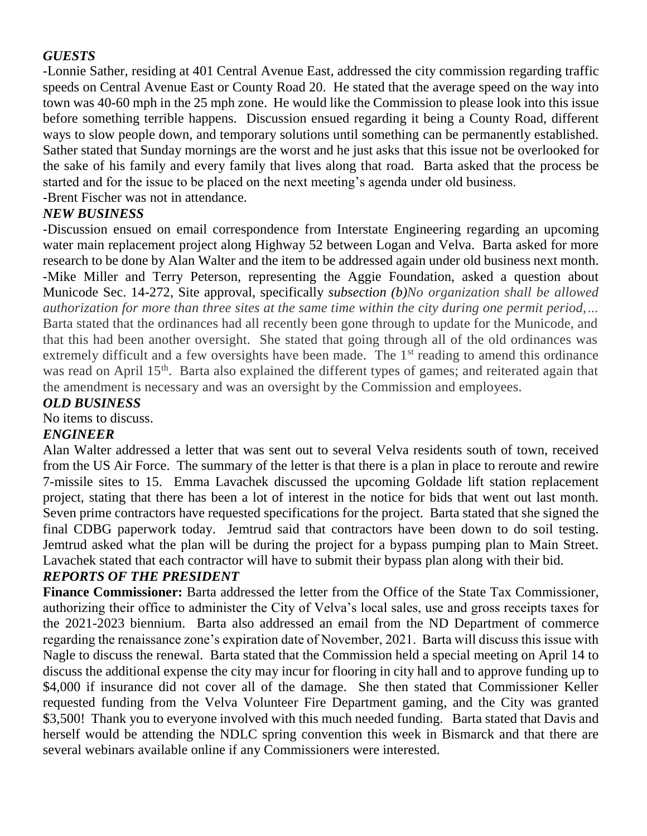# *GUESTS*

-Lonnie Sather, residing at 401 Central Avenue East, addressed the city commission regarding traffic speeds on Central Avenue East or County Road 20. He stated that the average speed on the way into town was 40-60 mph in the 25 mph zone. He would like the Commission to please look into this issue before something terrible happens. Discussion ensued regarding it being a County Road, different ways to slow people down, and temporary solutions until something can be permanently established. Sather stated that Sunday mornings are the worst and he just asks that this issue not be overlooked for the sake of his family and every family that lives along that road. Barta asked that the process be started and for the issue to be placed on the next meeting's agenda under old business. -Brent Fischer was not in attendance.

#### *NEW BUSINESS*

-Discussion ensued on email correspondence from Interstate Engineering regarding an upcoming water main replacement project along Highway 52 between Logan and Velva. Barta asked for more research to be done by Alan Walter and the item to be addressed again under old business next month. -Mike Miller and Terry Peterson, representing the Aggie Foundation, asked a question about Municode Sec. 14-272, Site approval, specifically *subsection (b)No organization shall be allowed authorization for more than three sites at the same time within the city during one permit period,…* Barta stated that the ordinances had all recently been gone through to update for the Municode, and that this had been another oversight. She stated that going through all of the old ordinances was extremely difficult and a few oversights have been made. The  $1<sup>st</sup>$  reading to amend this ordinance was read on April 15<sup>th</sup>. Barta also explained the different types of games; and reiterated again that the amendment is necessary and was an oversight by the Commission and employees.

#### *OLD BUSINESS*

No items to discuss.

#### *ENGINEER*

Alan Walter addressed a letter that was sent out to several Velva residents south of town, received from the US Air Force. The summary of the letter is that there is a plan in place to reroute and rewire 7-missile sites to 15. Emma Lavachek discussed the upcoming Goldade lift station replacement project, stating that there has been a lot of interest in the notice for bids that went out last month. Seven prime contractors have requested specifications for the project. Barta stated that she signed the final CDBG paperwork today. Jemtrud said that contractors have been down to do soil testing. Jemtrud asked what the plan will be during the project for a bypass pumping plan to Main Street. Lavachek stated that each contractor will have to submit their bypass plan along with their bid.

#### *REPORTS OF THE PRESIDENT*

**Finance Commissioner:** Barta addressed the letter from the Office of the State Tax Commissioner, authorizing their office to administer the City of Velva's local sales, use and gross receipts taxes for the 2021-2023 biennium. Barta also addressed an email from the ND Department of commerce regarding the renaissance zone's expiration date of November, 2021. Barta will discuss this issue with Nagle to discuss the renewal. Barta stated that the Commission held a special meeting on April 14 to discuss the additional expense the city may incur for flooring in city hall and to approve funding up to \$4,000 if insurance did not cover all of the damage. She then stated that Commissioner Keller requested funding from the Velva Volunteer Fire Department gaming, and the City was granted \$3,500! Thank you to everyone involved with this much needed funding. Barta stated that Davis and herself would be attending the NDLC spring convention this week in Bismarck and that there are several webinars available online if any Commissioners were interested.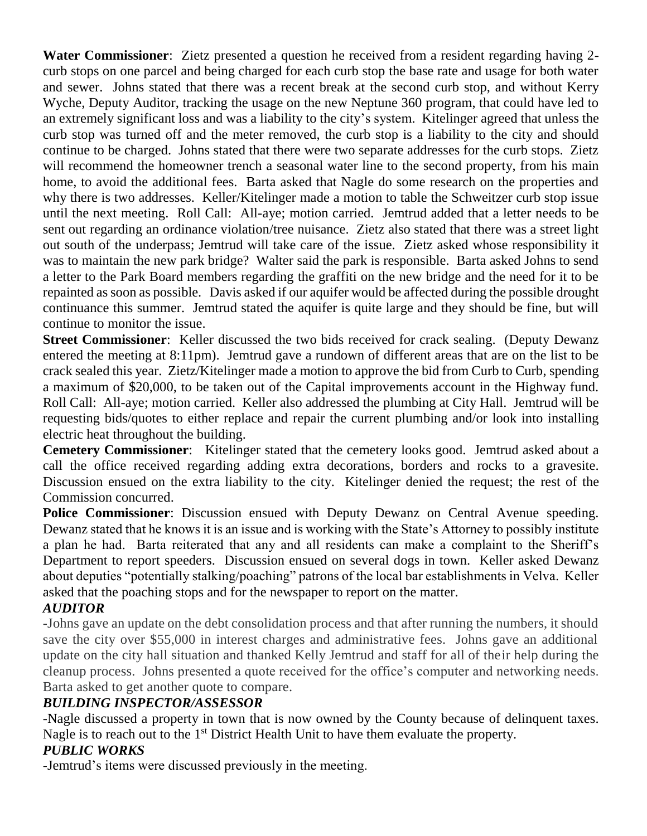**Water Commissioner**: Zietz presented a question he received from a resident regarding having 2 curb stops on one parcel and being charged for each curb stop the base rate and usage for both water and sewer. Johns stated that there was a recent break at the second curb stop, and without Kerry Wyche, Deputy Auditor, tracking the usage on the new Neptune 360 program, that could have led to an extremely significant loss and was a liability to the city's system. Kitelinger agreed that unless the curb stop was turned off and the meter removed, the curb stop is a liability to the city and should continue to be charged. Johns stated that there were two separate addresses for the curb stops. Zietz will recommend the homeowner trench a seasonal water line to the second property, from his main home, to avoid the additional fees. Barta asked that Nagle do some research on the properties and why there is two addresses. Keller/Kitelinger made a motion to table the Schweitzer curb stop issue until the next meeting. Roll Call: All-aye; motion carried. Jemtrud added that a letter needs to be sent out regarding an ordinance violation/tree nuisance. Zietz also stated that there was a street light out south of the underpass; Jemtrud will take care of the issue. Zietz asked whose responsibility it was to maintain the new park bridge? Walter said the park is responsible. Barta asked Johns to send a letter to the Park Board members regarding the graffiti on the new bridge and the need for it to be repainted as soon as possible. Davis asked if our aquifer would be affected during the possible drought continuance this summer. Jemtrud stated the aquifer is quite large and they should be fine, but will continue to monitor the issue.

**Street Commissioner:** Keller discussed the two bids received for crack sealing. (Deputy Dewanz entered the meeting at 8:11pm). Jemtrud gave a rundown of different areas that are on the list to be crack sealed this year. Zietz/Kitelinger made a motion to approve the bid from Curb to Curb, spending a maximum of \$20,000, to be taken out of the Capital improvements account in the Highway fund. Roll Call: All-aye; motion carried. Keller also addressed the plumbing at City Hall. Jemtrud will be requesting bids/quotes to either replace and repair the current plumbing and/or look into installing electric heat throughout the building.

**Cemetery Commissioner**: Kitelinger stated that the cemetery looks good. Jemtrud asked about a call the office received regarding adding extra decorations, borders and rocks to a gravesite. Discussion ensued on the extra liability to the city. Kitelinger denied the request; the rest of the Commission concurred.

**Police Commissioner**: Discussion ensued with Deputy Dewanz on Central Avenue speeding. Dewanz stated that he knows it is an issue and is working with the State's Attorney to possibly institute a plan he had. Barta reiterated that any and all residents can make a complaint to the Sheriff's Department to report speeders. Discussion ensued on several dogs in town. Keller asked Dewanz about deputies "potentially stalking/poaching" patrons of the local bar establishments in Velva. Keller asked that the poaching stops and for the newspaper to report on the matter.

#### *AUDITOR*

-Johns gave an update on the debt consolidation process and that after running the numbers, it should save the city over \$55,000 in interest charges and administrative fees. Johns gave an additional update on the city hall situation and thanked Kelly Jemtrud and staff for all of their help during the cleanup process. Johns presented a quote received for the office's computer and networking needs. Barta asked to get another quote to compare.

#### *BUILDING INSPECTOR/ASSESSOR*

-Nagle discussed a property in town that is now owned by the County because of delinquent taxes. Nagle is to reach out to the 1<sup>st</sup> District Health Unit to have them evaluate the property.

# *PUBLIC WORKS*

-Jemtrud's items were discussed previously in the meeting.